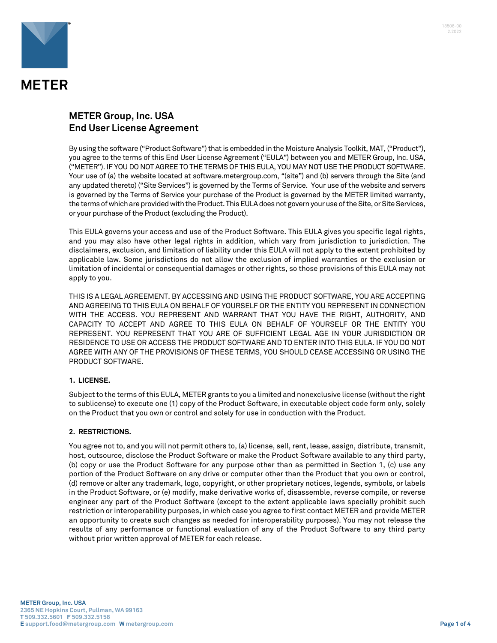



# **METER Group, Inc. USA End User License Agreement**

By using the software ("Product Software") that is embedded in the Moisture Analysis Toolkit, MAT, ("Product"), you agree to the terms of this End User License Agreement ("EULA") between you and METER Group, Inc. USA, ("METER"). IF YOU DO NOT AGREE TO THE TERMS OF THIS EULA, YOU MAY NOT USE THE PRODUCT SOFTWARE. Your use of (a) the website located at software.metergroup.com, "(site") and (b) servers through the Site (and any updated thereto) ("Site Services") is governed by the Terms of Service. Your use of the website and servers is governed by the Terms of Service your purchase of the Product is governed by the METER limited warranty, the terms of which are provided with the Product. This EULA does not govern your use of the Site, or Site Services, or your purchase of the Product (excluding the Product).

This EULA governs your access and use of the Product Software. This EULA gives you specific legal rights, and you may also have other legal rights in addition, which vary from jurisdiction to jurisdiction. The disclaimers, exclusion, and limitation of liability under this EULA will not apply to the extent prohibited by applicable law. Some jurisdictions do not allow the exclusion of implied warranties or the exclusion or limitation of incidental or consequential damages or other rights, so those provisions of this EULA may not apply to you.

THIS IS A LEGAL AGREEMENT. BY ACCESSING AND USING THE PRODUCT SOFTWARE, YOU ARE ACCEPTING AND AGREEING TO THIS EULA ON BEHALF OF YOURSELF OR THE ENTITY YOU REPRESENT IN CONNECTION WITH THE ACCESS. YOU REPRESENT AND WARRANT THAT YOU HAVE THE RIGHT, AUTHORITY, AND CAPACITY TO ACCEPT AND AGREE TO THIS EULA ON BEHALF OF YOURSELF OR THE ENTITY YOU REPRESENT. YOU REPRESENT THAT YOU ARE OF SUFFICIENT LEGAL AGE IN YOUR JURISDICTION OR RESIDENCE TO USE OR ACCESS THE PRODUCT SOFTWARE AND TO ENTER INTO THIS EULA. IF YOU DO NOT AGREE WITH ANY OF THE PROVISIONS OF THESE TERMS, YOU SHOULD CEASE ACCESSING OR USING THE PRODUCT SOFTWARE.

# **1. LICENSE.**

Subject to the terms of this EULA, METER grants to you a limited and nonexclusive license (without the right to sublicense) to execute one (1) copy of the Product Software, in executable object code form only, solely on the Product that you own or control and solely for use in conduction with the Product.

# **2. RESTRICTIONS.**

You agree not to, and you will not permit others to, (a) license, sell, rent, lease, assign, distribute, transmit, host, outsource, disclose the Product Software or make the Product Software available to any third party, (b) copy or use the Product Software for any purpose other than as permitted in Section 1, (c) use any portion of the Product Software on any drive or computer other than the Product that you own or control, (d) remove or alter any trademark, logo, copyright, or other proprietary notices, legends, symbols, or labels in the Product Software, or (e) modify, make derivative works of, disassemble, reverse compile, or reverse engineer any part of the Product Software (except to the extent applicable laws specially prohibit such restriction or interoperability purposes, in which case you agree to first contact METER and provide METER an opportunity to create such changes as needed for interoperability purposes). You may not release the results of any performance or functional evaluation of any of the Product Software to any third party without prior written approval of METER for each release.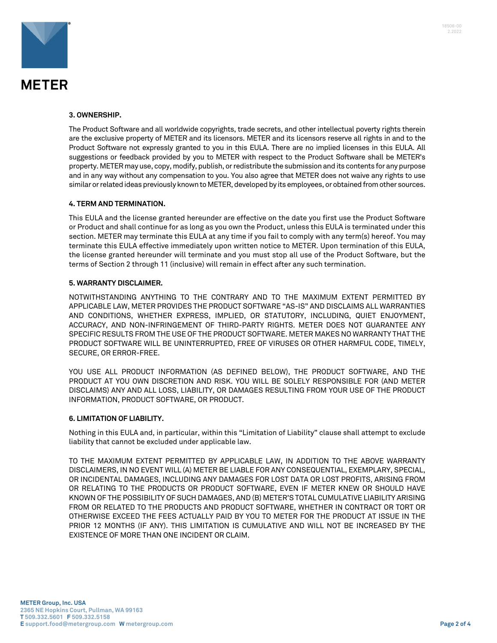

# **3. OWNERSHIP.**

The Product Software and all worldwide copyrights, trade secrets, and other intellectual poverty rights therein are the exclusive property of METER and its licensors. METER and its licensors reserve all rights in and to the Product Software not expressly granted to you in this EULA. There are no implied licenses in this EULA. All suggestions or feedback provided by you to METER with respect to the Product Software shall be METER's property. METER may use, copy, modify, publish, or redistribute the submission and its contents for any purpose and in any way without any compensation to you. You also agree that METER does not waive any rights to use similar or related ideas previously known to METER, developed by its employees, or obtained from other sources.

#### **4. TERM AND TERMINATION.**

This EULA and the license granted hereunder are effective on the date you first use the Product Software or Product and shall continue for as long as you own the Product, unless this EULA is terminated under this section. METER may terminate this EULA at any time if you fail to comply with any term(s) hereof. You may terminate this EULA effective immediately upon written notice to METER. Upon termination of this EULA, the license granted hereunder will terminate and you must stop all use of the Product Software, but the terms of Section 2 through 11 (inclusive) will remain in effect after any such termination.

#### **5. WARRANTY DISCLAIMER.**

NOTWITHSTANDING ANYTHING TO THE CONTRARY AND TO THE MAXIMUM EXTENT PERMITTED BY APPLICABLE LAW, METER PROVIDES THE PRODUCT SOFTWARE "AS-IS" AND DISCLAIMS ALL WARRANTIES AND CONDITIONS, WHETHER EXPRESS, IMPLIED, OR STATUTORY, INCLUDING, QUIET ENJOYMENT, ACCURACY, AND NON-INFRINGEMENT OF THIRD-PARTY RIGHTS. METER DOES NOT GUARANTEE ANY SPECIFIC RESULTS FROM THE USE OF THE PRODUCT SOFTWARE. METER MAKES NO WARRANTY THAT THE PRODUCT SOFTWARE WILL BE UNINTERRUPTED, FREE OF VIRUSES OR OTHER HARMFUL CODE, TIMELY, SECURE, OR ERROR-FREE.

YOU USE ALL PRODUCT INFORMATION (AS DEFINED BELOW), THE PRODUCT SOFTWARE, AND THE PRODUCT AT YOU OWN DISCRETION AND RISK. YOU WILL BE SOLELY RESPONSIBLE FOR (AND METER DISCLAIMS) ANY AND ALL LOSS, LIABILITY, OR DAMAGES RESULTING FROM YOUR USE OF THE PRODUCT INFORMATION, PRODUCT SOFTWARE, OR PRODUCT.

#### **6. LIMITATION OF LIABILITY.**

Nothing in this EULA and, in particular, within this "Limitation of Liability" clause shall attempt to exclude liability that cannot be excluded under applicable law.

TO THE MAXIMUM EXTENT PERMITTED BY APPLICABLE LAW, IN ADDITION TO THE ABOVE WARRANTY DISCLAIMERS, IN NO EVENT WILL (A) METER BE LIABLE FOR ANY CONSEQUENTIAL, EXEMPLARY, SPECIAL, OR INCIDENTAL DAMAGES, INCLUDING ANY DAMAGES FOR LOST DATA OR LOST PROFITS, ARISING FROM OR RELATING TO THE PRODUCTS OR PRODUCT SOFTWARE, EVEN IF METER KNEW OR SHOULD HAVE KNOWN OF THE POSSIBILITY OF SUCH DAMAGES, AND (B) METER'S TOTAL CUMULATIVE LIABILITY ARISING FROM OR RELATED TO THE PRODUCTS AND PRODUCT SOFTWARE, WHETHER IN CONTRACT OR TORT OR OTHERWISE EXCEED THE FEES ACTUALLY PAID BY YOU TO METER FOR THE PRODUCT AT ISSUE IN THE PRIOR 12 MONTHS (IF ANY). THIS LIMITATION IS CUMULATIVE AND WILL NOT BE INCREASED BY THE EXISTENCE OF MORE THAN ONE INCIDENT OR CLAIM.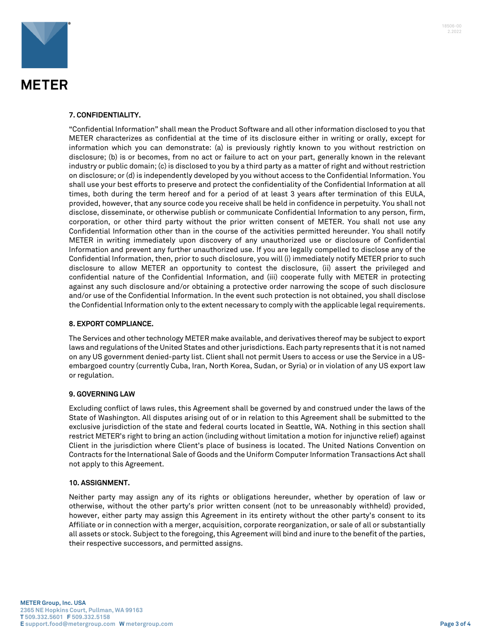

# **7. CONFIDENTIALITY.**

"Confidential Information" shall mean the Product Software and all other information disclosed to you that METER characterizes as confidential at the time of its disclosure either in writing or orally, except for information which you can demonstrate: (a) is previously rightly known to you without restriction on disclosure; (b) is or becomes, from no act or failure to act on your part, generally known in the relevant industry or public domain; (c) is disclosed to you by a third party as a matter of right and without restriction on disclosure; or (d) is independently developed by you without access to the Confidential Information. You shall use your best efforts to preserve and protect the confidentiality of the Confidential Information at all times, both during the term hereof and for a period of at least 3 years after termination of this EULA, provided, however, that any source code you receive shall be held in confidence in perpetuity. You shall not disclose, disseminate, or otherwise publish or communicate Confidential Information to any person, firm, corporation, or other third party without the prior written consent of METER. You shall not use any Confidential Information other than in the course of the activities permitted hereunder. You shall notify METER in writing immediately upon discovery of any unauthorized use or disclosure of Confidential Information and prevent any further unauthorized use. If you are legally compelled to disclose any of the Confidential Information, then, prior to such disclosure, you will (i) immediately notify METER prior to such disclosure to allow METER an opportunity to contest the disclosure, (ii) assert the privileged and confidential nature of the Confidential Information, and (iii) cooperate fully with METER in protecting against any such disclosure and/or obtaining a protective order narrowing the scope of such disclosure and/or use of the Confidential Information. In the event such protection is not obtained, you shall disclose the Confidential Information only to the extent necessary to comply with the applicable legal requirements.

#### **8. EXPORT COMPLIANCE.**

The Services and other technology METER make available, and derivatives thereof may be subject to export laws and regulations of the United States and other jurisdictions. Each party represents that it is not named on any US government denied-party list. Client shall not permit Users to access or use the Service in a USembargoed country (currently Cuba, Iran, North Korea, Sudan, or Syria) or in violation of any US export law or regulation.

# **9. GOVERNING LAW**

Excluding conflict of laws rules, this Agreement shall be governed by and construed under the laws of the State of Washington. All disputes arising out of or in relation to this Agreement shall be submitted to the exclusive jurisdiction of the state and federal courts located in Seattle, WA. Nothing in this section shall restrict METER's right to bring an action (including without limitation a motion for injunctive relief) against Client in the jurisdiction where Client's place of business is located. The United Nations Convention on Contracts for the International Sale of Goods and the Uniform Computer Information Transactions Act shall not apply to this Agreement.

# **10. ASSIGNMENT.**

Neither party may assign any of its rights or obligations hereunder, whether by operation of law or otherwise, without the other party's prior written consent (not to be unreasonably withheld) provided, however, either party may assign this Agreement in its entirety without the other party's consent to its Affiliate or in connection with a merger, acquisition, corporate reorganization, or sale of all or substantially all assets or stock. Subject to the foregoing, this Agreement will bind and inure to the benefit of the parties, their respective successors, and permitted assigns.